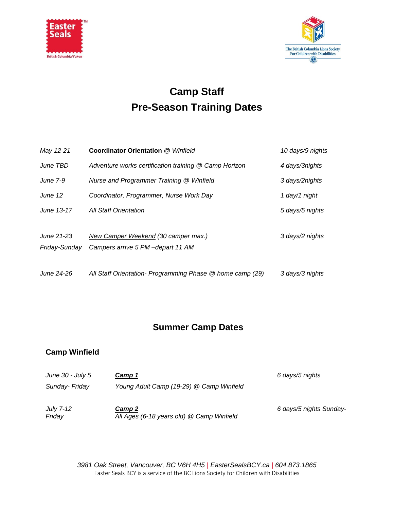



## **Camp Staff Pre-Season Training Dates**

| May 12-21       | <b>Coordinator Orientation @ Winfield</b>                 | 10 days/9 nights |
|-----------------|-----------------------------------------------------------|------------------|
| June TBD        | Adventure works certification training @ Camp Horizon     | 4 days/3nights   |
| <b>June 7-9</b> | Nurse and Programmer Training @ Winfield                  | 3 days/2nights   |
| June 12         | Coordinator, Programmer, Nurse Work Day                   | 1 day/1 night    |
| June 13-17      | <b>All Staff Orientation</b>                              | 5 days/5 nights  |
|                 |                                                           |                  |
| June 21-23      | New Camper Weekend (30 camper max.)                       | 3 days/2 nights  |
| Friday-Sunday   | Campers arrive 5 PM-depart 11 AM                          |                  |
|                 |                                                           |                  |
| June 24-26      | All Staff Orientation- Programming Phase @ home camp (29) | 3 days/3 nights  |

## **Summer Camp Dates**

## **Camp Winfield**

| June $30$ - July 5         | Camp 1                                              | 6 days/5 nights         |
|----------------------------|-----------------------------------------------------|-------------------------|
| Sunday- Friday             | Young Adult Camp (19-29) @ Camp Winfield            |                         |
| <b>July 7-12</b><br>Friday | Camp 2<br>All Ages (6-18 years old) @ Camp Winfield | 6 days/5 nights Sunday- |